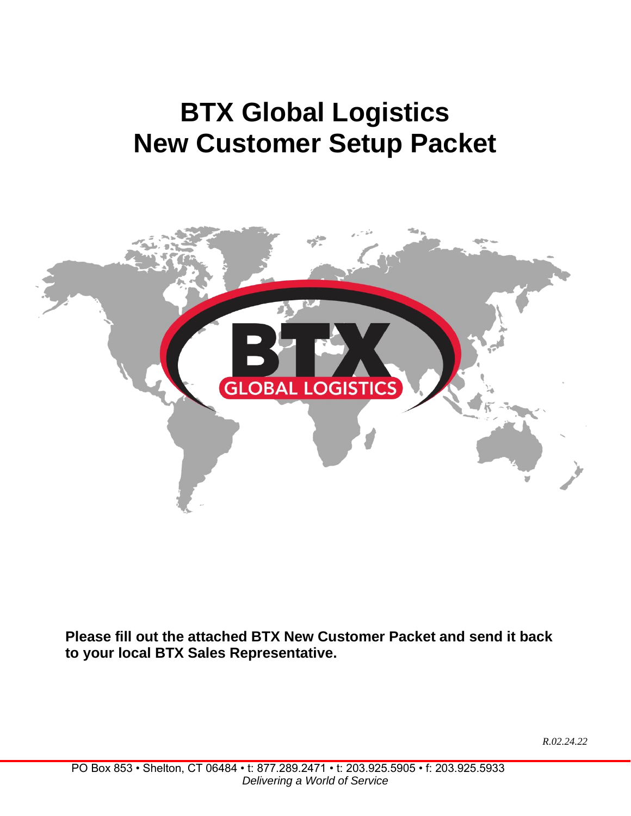## **BTX Global Logistics New Customer Setup Packet**



**Please fill out the attached BTX New Customer Packet and send it back to your local BTX Sales Representative.**

*R.02.24.22*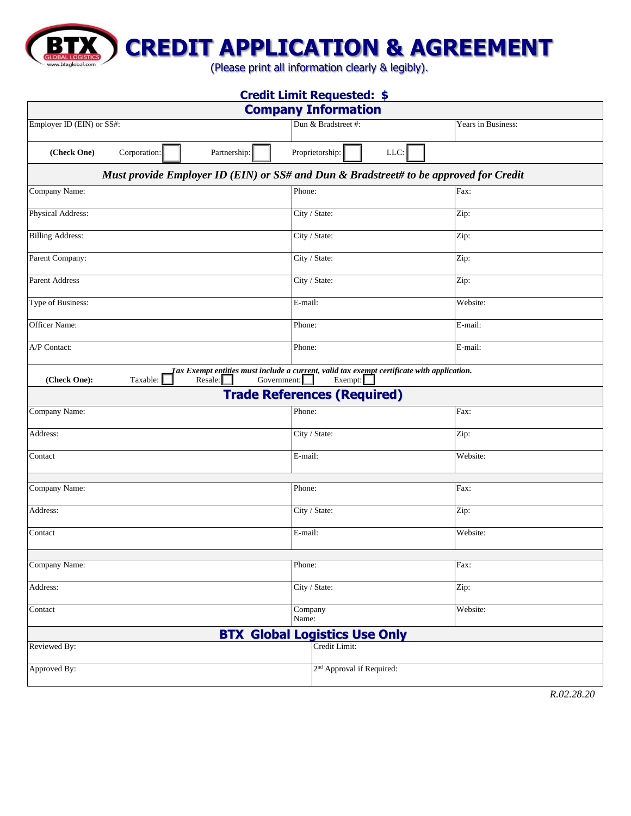**CREDIT APPLICATION & AGREEMENT**

(Please print all information clearly & legibly).

 $\frac{1}{100}$ 

ww.btxglobal.com

| <b>Credit Limit Requested: \$</b><br><b>Company Information</b>                       |                                                                                                                |                                       |                                    |      |          |  |  |
|---------------------------------------------------------------------------------------|----------------------------------------------------------------------------------------------------------------|---------------------------------------|------------------------------------|------|----------|--|--|
|                                                                                       |                                                                                                                |                                       |                                    |      |          |  |  |
| (Check One)<br>Corporation:                                                           | Partnership:                                                                                                   |                                       | Proprietorship:                    | LLC: |          |  |  |
| Must provide Employer ID (EIN) or SS# and Dun & Bradstreet# to be approved for Credit |                                                                                                                |                                       |                                    |      |          |  |  |
| Company Name:                                                                         |                                                                                                                | Phone:                                |                                    |      | Fax:     |  |  |
| Physical Address:                                                                     |                                                                                                                |                                       | City / State:                      |      | Zip:     |  |  |
| <b>Billing Address:</b>                                                               |                                                                                                                |                                       | City / State:                      |      | Zip:     |  |  |
| Parent Company:                                                                       |                                                                                                                |                                       | City / State:                      |      | Zip:     |  |  |
| <b>Parent Address</b>                                                                 |                                                                                                                |                                       | City / State:                      |      | Zip:     |  |  |
| Type of Business:                                                                     |                                                                                                                |                                       | E-mail:                            |      | Website: |  |  |
| Officer Name:                                                                         |                                                                                                                |                                       | Phone:                             |      | E-mail:  |  |  |
| A/P Contact:                                                                          |                                                                                                                | Phone:                                |                                    |      | E-mail:  |  |  |
| (Check One):<br>Taxable:                                                              | Tax Exempt en <u>titi</u> es must include a current, valid tax exempt certificate with application.<br>Resale: | Government:                           | Exempt:                            |      |          |  |  |
|                                                                                       |                                                                                                                |                                       | <b>Trade References (Required)</b> |      |          |  |  |
| Company Name:                                                                         |                                                                                                                | Phone:                                |                                    |      | Fax:     |  |  |
| Address:                                                                              |                                                                                                                |                                       | City / State:                      |      | Zip:     |  |  |
| Contact                                                                               |                                                                                                                |                                       | E-mail:                            |      | Website: |  |  |
|                                                                                       |                                                                                                                |                                       |                                    |      |          |  |  |
| Company Name:                                                                         |                                                                                                                |                                       | Phone:                             |      | Fax:     |  |  |
| Address:                                                                              |                                                                                                                |                                       | City / State:                      |      | Zip:     |  |  |
| Contact                                                                               |                                                                                                                |                                       | E-mail:                            |      | Website: |  |  |
|                                                                                       |                                                                                                                |                                       |                                    |      |          |  |  |
| Company Name:                                                                         |                                                                                                                |                                       | Phone:                             |      | Fax:     |  |  |
| Address:                                                                              |                                                                                                                |                                       | City / State:                      |      | Zip:     |  |  |
| Contact                                                                               |                                                                                                                | Company<br>Name:                      |                                    |      | Website: |  |  |
| <b>BTX Global Logistics Use Only</b>                                                  |                                                                                                                |                                       |                                    |      |          |  |  |
| Reviewed By:                                                                          |                                                                                                                |                                       | Credit Limit:                      |      |          |  |  |
| Approved By:                                                                          |                                                                                                                | 2 <sup>nd</sup> Approval if Required: |                                    |      |          |  |  |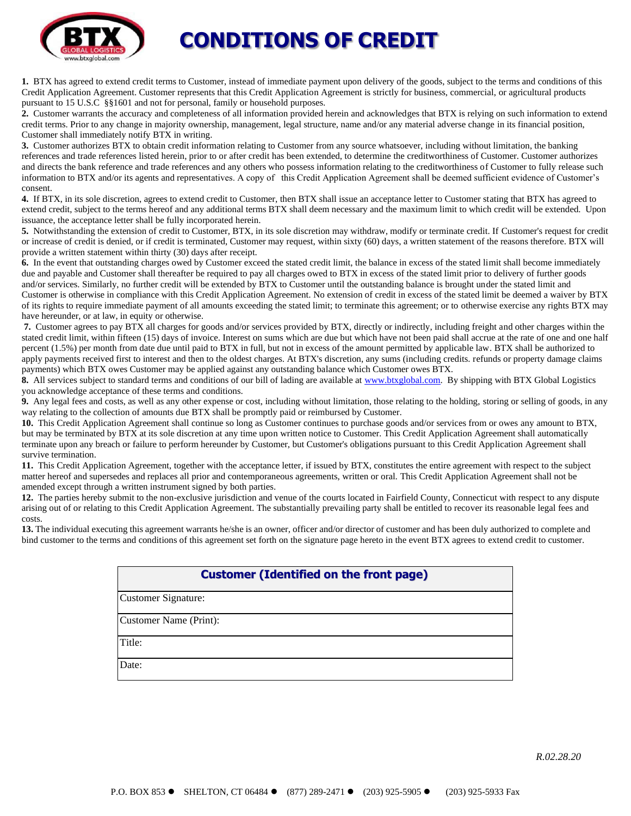

### **CONDITIONS OF CREDIT**

**1.** BTX has agreed to extend credit terms to Customer, instead of immediate payment upon delivery of the goods, subject to the terms and conditions of this Credit Application Agreement. Customer represents that this Credit Application Agreement is strictly for business, commercial, or agricultural products pursuant to 15 U.S.C §§1601 and not for personal, family or household purposes.

**2.** Customer warrants the accuracy and completeness of all information provided herein and acknowledges that BTX is relying on such information to extend credit terms. Prior to any change in majority ownership, management, legal structure, name and/or any material adverse change in its financial position, Customer shall immediately notify BTX in writing.

**3.** Customer authorizes BTX to obtain credit information relating to Customer from any source whatsoever, including without limitation, the banking references and trade references listed herein, prior to or after credit has been extended, to determine the creditworthiness of Customer. Customer authorizes and directs the bank reference and trade references and any others who possess information relating to the creditworthiness of Customer to fully release such information to BTX and/or its agents and representatives. A copy of this Credit Application Agreement shall be deemed sufficient evidence of Customer's consent.

**4.** If BTX, in its sole discretion, agrees to extend credit to Customer, then BTX shall issue an acceptance letter to Customer stating that BTX has agreed to extend credit, subject to the terms hereof and any additional terms BTX shall deem necessary and the maximum limit to which credit will be extended. Upon issuance, the acceptance letter shall be fully incorporated herein.

**5.** Notwithstanding the extension of credit to Customer, BTX, in its sole discretion may withdraw, modify or terminate credit. If Customer's request for credit or increase of credit is denied, or if credit is terminated, Customer may request, within sixty (60) days, a written statement of the reasons therefore. BTX will provide a written statement within thirty (30) days after receipt.

**6.** In the event that outstanding charges owed by Customer exceed the stated credit limit, the balance in excess of the stated limit shall become immediately due and payable and Customer shall thereafter be required to pay all charges owed to BTX in excess of the stated limit prior to delivery of further goods and/or services. Similarly, no further credit will be extended by BTX to Customer until the outstanding balance is brought under the stated limit and Customer is otherwise in compliance with this Credit Application Agreement. No extension of credit in excess of the stated limit be deemed a waiver by BTX of its rights to require immediate payment of all amounts exceeding the stated limit; to terminate this agreement; or to otherwise exercise any rights BTX may have hereunder, or at law, in equity or otherwise.

**7.** Customer agrees to pay BTX all charges for goods and/or services provided by BTX, directly or indirectly, including freight and other charges within the stated credit limit, within fifteen (15) days of invoice. Interest on sums which are due but which have not been paid shall accrue at the rate of one and one half percent (1.5%) per month from date due until paid to BTX in full, but not in excess of the amount permitted by applicable law. BTX shall be authorized to apply payments received first to interest and then to the oldest charges. At BTX's discretion, any sums (including credits. refunds or property damage claims payments) which BTX owes Customer may be applied against any outstanding balance which Customer owes BTX.

**8.** All services subject to standard terms and conditions of our bill of lading are available a[t www.btxglobal.com.](http://www.btxglobal.com/) By shipping with BTX Global Logistics you acknowledge acceptance of these terms and conditions.

**9.** Any legal fees and costs, as well as any other expense or cost, including without limitation, those relating to the holding, storing or selling of goods, in any way relating to the collection of amounts due BTX shall be promptly paid or reimbursed by Customer.

**10.** This Credit Application Agreement shall continue so long as Customer continues to purchase goods and/or services from or owes any amount to BTX, but may be terminated by BTX at its sole discretion at any time upon written notice to Customer. This Credit Application Agreement shall automatically terminate upon any breach or failure to perform hereunder by Customer, but Customer's obligations pursuant to this Credit Application Agreement shall survive termination.

**11.** This Credit Application Agreement, together with the acceptance letter, if issued by BTX, constitutes the entire agreement with respect to the subject matter hereof and supersedes and replaces all prior and contemporaneous agreements, written or oral. This Credit Application Agreement shall not be amended except through a written instrument signed by both parties.

**12.** The parties hereby submit to the non-exclusive jurisdiction and venue of the courts located in Fairfield County, Connecticut with respect to any dispute arising out of or relating to this Credit Application Agreement. The substantially prevailing party shall be entitled to recover its reasonable legal fees and costs.

**13.** The individual executing this agreement warrants he/she is an owner, officer and/or director of customer and has been duly authorized to complete and bind customer to the terms and conditions of this agreement set forth on the signature page hereto in the event BTX agrees to extend credit to customer.

#### **Customer (Identified on the front page)**

Customer Signature:

Customer Name (Print):

Title:

Date:

*R.02.28.20*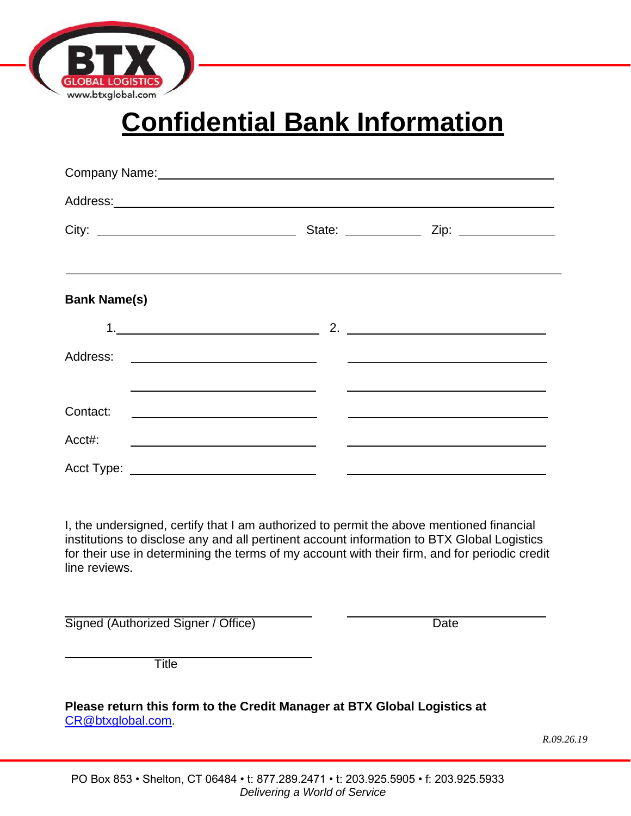

# **Confidential Bank Information**

| Company Name: Manual Manual Manual Manual Manual Manual Manual Manual Manual Manual Manual Manual Manual Manua |                                                                    |                                                                                                 |  |  |  |
|----------------------------------------------------------------------------------------------------------------|--------------------------------------------------------------------|-------------------------------------------------------------------------------------------------|--|--|--|
|                                                                                                                |                                                                    |                                                                                                 |  |  |  |
|                                                                                                                |                                                                    |                                                                                                 |  |  |  |
| <b>Bank Name(s)</b>                                                                                            |                                                                    |                                                                                                 |  |  |  |
|                                                                                                                |                                                                    |                                                                                                 |  |  |  |
| Address:                                                                                                       | <u> 1980 - Andrea Stadt Britain, amerikansk politik (* 1908)</u>   |                                                                                                 |  |  |  |
|                                                                                                                | <u> 1989 - Johann Barbara, margaret eta biztanleria (h. 1989).</u> | the contract of the contract of the contract of the contract of the contract of the contract of |  |  |  |
| Contact:                                                                                                       |                                                                    |                                                                                                 |  |  |  |
| Acct#:                                                                                                         | <u> 1999 - Johann Barbara, martxa alemaniar a</u>                  |                                                                                                 |  |  |  |
| Acct Type:                                                                                                     |                                                                    |                                                                                                 |  |  |  |

I, the undersigned, certify that I am authorized to permit the above mentioned financial institutions to disclose any and all pertinent account information to BTX Global Logistics for their use in determining the terms of my account with their firm, and for periodic credit line reviews.

Signed (Authorized Signer / Office) Date

Title

**Please return this form to the Credit Manager at BTX Global Logistics at** [CR@btxglobal.com.](mailto:CR@btxglobal.com)

*R.09.26.19*